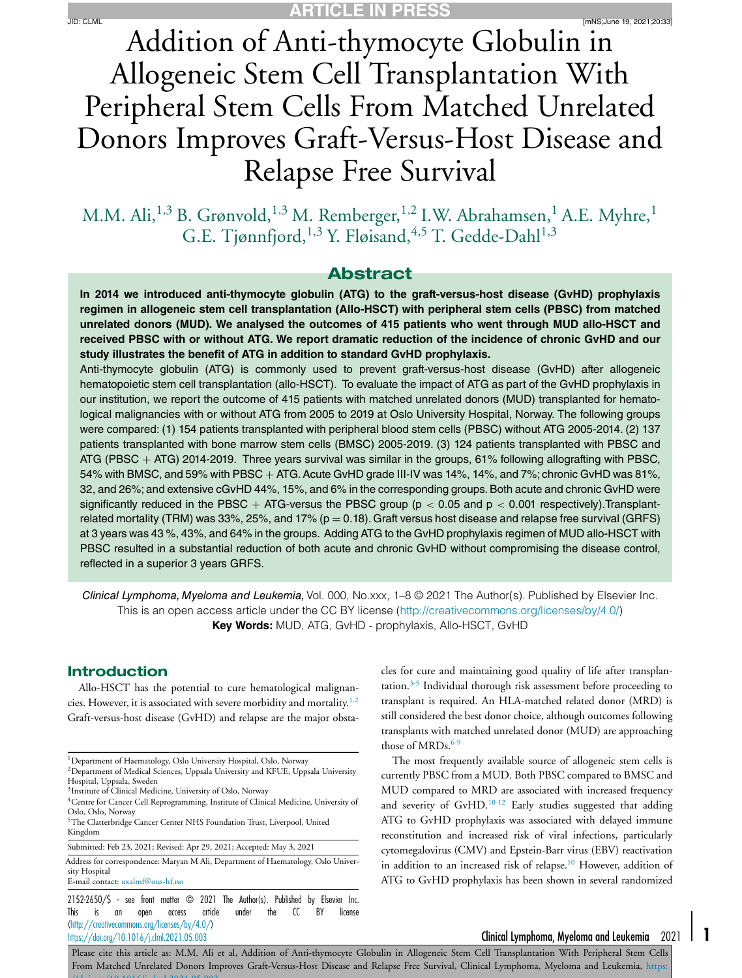Addition of Anti-thymocyte Globulin in Allogeneic Stem Cell Transplantation With Peripheral Stem Cells From Matched Unrelated Donors Improves Graft-Versus-Host Disease and Relapse Free Survival

M.M. Ali,<sup>1,3</sup> B. Grønvold,<sup>1,3</sup> M. Remberger,<sup>1,2</sup> I.W. Abrahamsen,<sup>1</sup> A.E. Myhre,<sup>1</sup> G.E. Tjønnfjord,<sup>1,3</sup> Y. Fløisand,<sup>4,5</sup> T. Gedde-Dahl<sup>1,3</sup>

# **Abstract**

**In 2014 we introduced anti-thymocyte globulin (ATG) to the graft-versus-host disease (GvHD) prophylaxis regimen in allogeneic stem cell transplantation (Allo-HSCT) with peripheral stem cells (PBSC) from matched unrelated donors (MUD). We analysed the outcomes of 415 patients who went through MUD allo-HSCT and** received PBSC with or without ATG. We report dramatic reduction of the incidence of chronic GvHD and our **study illustrates the benefit of ATG in addition to standard GvHD prophylaxis.**

Anti-thymocyte globulin (ATG) is commonly used to prevent graft-versus-host disease (GvHD) after allogeneic hematopoietic stem cell transplantation (allo-HSCT). To evaluate the impact of ATG as part of the GvHD prophylaxis in our institution, we report the outcome of 415 patients with matched unrelated donors (MUD) transplanted for hematological malignancies with or without ATG from 2005 to 2019 at Oslo University Hospital, Norway. The following groups were compared: (1) 154 patients transplanted with peripheral blood stem cells (PBSC) without ATG 2005-2014. (2) 137 patients transplanted with bone marrow stem cells (BMSC) 2005-2019. (3) 124 patients transplanted with PBSC and ATG (PBSC  $+$  ATG) 2014-2019. Three years survival was similar in the groups, 61% following allografting with PBSC, 54% with BMSC, and 59% with PBSC + ATG.Acute GvHD grade III-IV was 14%, 14%, and 7%; chronic GvHD was 81%, 32, and 26%; and extensive cGvHD 44%, 15%, and 6% in the corresponding groups.Both acute and chronic GvHD were significantly reduced in the PBSC + ATG-versus the PBSC group ( $p < 0.05$  and  $p < 0.001$  respectively). Transplantrelated mortality (TRM) was 33%, 25%, and 17% ( $p = 0.18$ ). Graft versus host disease and relapse free survival (GRFS) at 3 years was 43 %, 43%, and 64% in the groups. Adding ATG to the GvHD prophylaxis regimen of MUD allo-HSCT with PBSC resulted in a substantial reduction of both acute and chronic GvHD without compromising the disease control, reflected in a superior 3 years GRFS.

Clinical Lymphoma, Myeloma and Leukemia, Vol. 000, No.xxx, 1–8 © 2021 The Author(s). Published by Elsevier Inc. This is an open access article under the CC BY license [\(http://creativecommons.org/licenses/by/4.0/\)](http://creativecommons.org/licenses/by/4.0/) **Key Words:** MUD, ATG, GvHD - prophylaxis, Allo-HSCT, GvHD

#### **Introduction**

Allo-HSCT has the potential to cure hematological malignan-cies. However, it is associated with severe morbidity and mortality.<sup>[1,2](#page-6-0)</sup> Graft-versus-host disease (GvHD) and relapse are the major obsta-

2152-2650/\$ - see front matter © 2021 The Author(s). Published by Elsevier Inc. This is an open access article under the CC BY license [\(http://creativecommons.org/licenses/by/4.0/\)](http://creativecommons.org/licenses/by/4.0/) <https://doi.org/10.1016/j.clml.2021.05.003> Clinical Lymphoma, Myeloma and Leukemia 2021 **1**

cles for cure and maintaining good quality of life after transplantation.[3-5](#page-6-0) Individual thorough risk assessment before proceeding to transplant is required. An HLA-matched related donor (MRD) is still considered the best donor choice, although outcomes following transplants with matched unrelated donor (MUD) are approaching those of MRDs. $6-9$ 

The most frequently available source of allogeneic stem cells is currently PBSC from a MUD. Both PBSC compared to BMSC and MUD compared to MRD are associated with increased frequency and severity of GvHD.<sup>[10-12](#page-6-0)</sup> Early studies suggested that adding ATG to GvHD prophylaxis was associated with delayed immune reconstitution and increased risk of viral infections, particularly cytomegalovirus (CMV) and Epstein-Barr virus (EBV) reactivation in addition to an increased risk of relapse.[10](#page-6-0) However, addition of ATG to GvHD prophylaxis has been shown in several randomized

<sup>1</sup>Department of Haematology, Oslo University Hospital, Oslo, Norway <sup>2</sup>Department of Medical Sciences, Uppsala University and KFUE, Uppsala University

Hospital, Uppsala, Sweden

<sup>3</sup>Institute of Clinical Medicine, University of Oslo, Norway

<sup>4</sup>Centre for Cancer Cell Reprogramming, Institute of Clinical Medicine, University of Oslo, Oslo, Norway

<sup>&</sup>lt;sup>5</sup>The Clatterbridge Cancer Center NHS Foundation Trust, Liverpool, United Kingdom

Submitted: Feb 23, 2021; Revised: Apr 29, 2021; Accepted: May 3, 2021

Address for correspondence: Maryan M Ali, Department of Haematology, Oslo University Hospital E-mail contact: [uxalmf@ous-hf.no](mailto:uxalmf@ous-hf.no)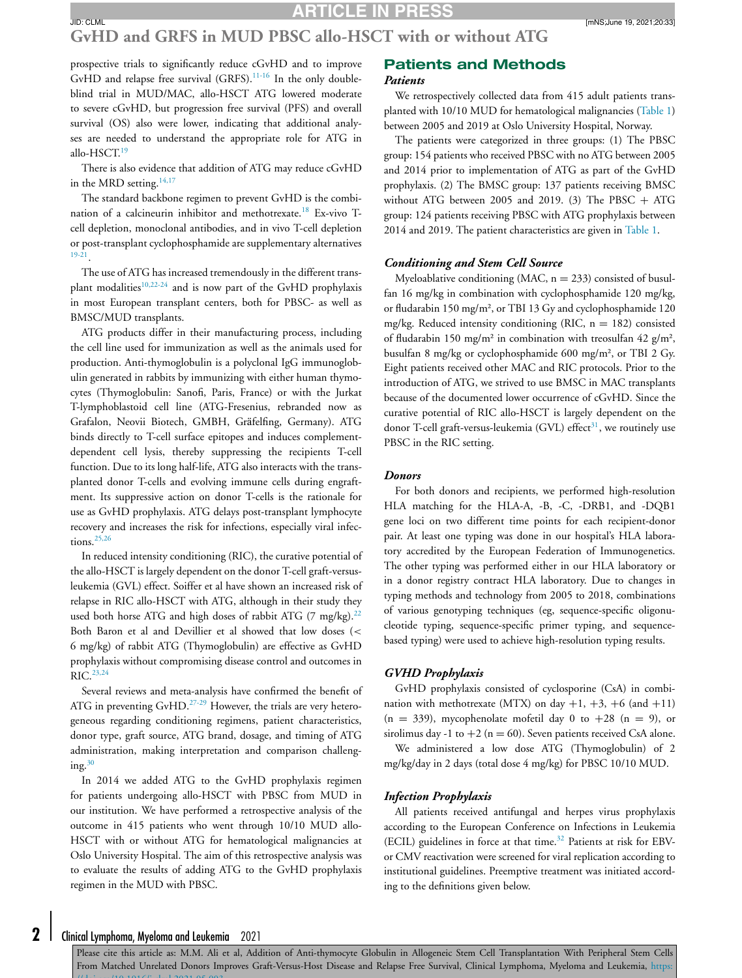### **GvHD and GRFS in MUD PBSC allo-HSCT with or without ATG**

prospective trials to significantly reduce cGvHD and to improve GvHD and relapse free survival (GRFS).<sup>[11-16](#page-6-0)</sup> In the only doubleblind trial in MUD/MAC, allo-HSCT ATG lowered moderate to severe cGvHD, but progression free survival (PFS) and overall survival (OS) also were lower, indicating that additional analyses are needed to understand the appropriate role for ATG in allo-HSCT.<sup>[19](#page-7-0)</sup>

There is also evidence that addition of ATG may reduce cGvHD in the MRD setting. $14,17$ 

The standard backbone regimen to prevent GvHD is the combination of a calcineurin inhibitor and methotrexate.[18](#page-7-0) Ex-vivo Tcell depletion, monoclonal antibodies, and in vivo T-cell depletion or post-transplant cyclophosphamide are supplementary alternatives [19-21.](#page-7-0)

The use of ATG has increased tremendously in the different trans-plant modalities<sup>[10,22-24](#page-6-0)</sup> and is now part of the GvHD prophylaxis in most European transplant centers, both for PBSC- as well as BMSC/MUD transplants.

ATG products differ in their manufacturing process, including the cell line used for immunization as well as the animals used for production. Anti-thymoglobulin is a polyclonal IgG immunoglobulin generated in rabbits by immunizing with either human thymocytes (Thymoglobulin: Sanofi, Paris, France) or with the Jurkat T-lymphoblastoid cell line (ATG-Fresenius, rebranded now as Grafalon, Neovii Biotech, GMBH, Grӓfelfing, Germany). ATG binds directly to T-cell surface epitopes and induces complementdependent cell lysis, thereby suppressing the recipients T-cell function. Due to its long half-life, ATG also interacts with the transplanted donor T-cells and evolving immune cells during engraftment. Its suppressive action on donor T-cells is the rationale for use as GvHD prophylaxis. ATG delays post-transplant lymphocyte recovery and increases the risk for infections, especially viral infections. $25,26$ 

In reduced intensity conditioning (RIC), the curative potential of the allo-HSCT is largely dependent on the donor T-cell graft-versusleukemia (GVL) effect. Soiffer et al have shown an increased risk of relapse in RIC allo-HSCT with ATG, although in their study they used both horse ATG and high doses of rabbit ATG (7 mg/kg).<sup>[22](#page-7-0)</sup> Both Baron et al and Devillier et al showed that low doses (< 6 mg/kg) of rabbit ATG (Thymoglobulin) are effective as GvHD prophylaxis without compromising disease control and outcomes in RIC.<sup>[23,24](#page-7-0)</sup>

Several reviews and meta-analysis have confirmed the benefit of ATG in preventing GvHD.<sup>[27-29](#page-7-0)</sup> However, the trials are very heterogeneous regarding conditioning regimens, patient characteristics, donor type, graft source, ATG brand, dosage, and timing of ATG administration, making interpretation and comparison challenging. $30$ 

In 2014 we added ATG to the GvHD prophylaxis regimen for patients undergoing allo-HSCT with PBSC from MUD in our institution. We have performed a retrospective analysis of the outcome in 415 patients who went through 10/10 MUD allo-HSCT with or without ATG for hematological malignancies at Oslo University Hospital. The aim of this retrospective analysis was to evaluate the results of adding ATG to the GvHD prophylaxis regimen in the MUD with PBSC.

#### **Patients and Methods** *Patients*

We retrospectively collected data from 415 adult patients transplanted with 10/10 MUD for hematological malignancies [\(Table](#page-2-0) 1) between 2005 and 2019 at Oslo University Hospital, Norway.

The patients were categorized in three groups: (1) The PBSC group: 154 patients who received PBSC with no ATG between 2005 and 2014 prior to implementation of ATG as part of the GvHD prophylaxis. (2) The BMSC group: 137 patients receiving BMSC without ATG between 2005 and 2019. (3) The PBSC  $+$  ATG group: 124 patients receiving PBSC with ATG prophylaxis between 2014 and 2019. The patient characteristics are given in [Table](#page-2-0) 1.

#### *Conditioning and Stem Cell Source*

Myeloablative conditioning (MAC,  $n = 233$ ) consisted of busulfan 16 mg/kg in combination with cyclophosphamide 120 mg/kg, or fludarabin 150 mg/m², or TBI 13 Gy and cyclophosphamide 120 mg/kg. Reduced intensity conditioning (RIC,  $n = 182$ ) consisted of fludarabin 150 mg/m² in combination with treosulfan 42 g/m², busulfan 8 mg/kg or cyclophosphamide 600 mg/m², or TBI 2 Gy. Eight patients received other MAC and RIC protocols. Prior to the introduction of ATG, we strived to use BMSC in MAC transplants because of the documented lower occurrence of cGvHD. Since the curative potential of RIC allo-HSCT is largely dependent on the donor T-cell graft-versus-leukemia (GVL) effect<sup>31</sup>, we routinely use PBSC in the RIC setting.

#### *Donors*

For both donors and recipients, we performed high-resolution HLA matching for the HLA-A, -B, -C, -DRB1, and -DQB1 gene loci on two different time points for each recipient-donor pair. At least one typing was done in our hospital's HLA laboratory accredited by the European Federation of Immunogenetics. The other typing was performed either in our HLA laboratory or in a donor registry contract HLA laboratory. Due to changes in typing methods and technology from 2005 to 2018, combinations of various genotyping techniques (eg, sequence-specific oligonucleotide typing, sequence-specific primer typing, and sequencebased typing) were used to achieve high-resolution typing results.

#### *GVHD Prophylaxis*

GvHD prophylaxis consisted of cyclosporine (CsA) in combination with methotrexate (MTX) on day  $+1$ ,  $+3$ ,  $+6$  (and  $+11$ )  $(n = 339)$ , mycophenolate mofetil day 0 to  $+28$   $(n = 9)$ , or sirolimus day -1 to  $+2$  (n = 60). Seven patients received CsA alone.

We administered a low dose ATG (Thymoglobulin) of 2 mg/kg/day in 2 days (total dose 4 mg/kg) for PBSC 10/10 MUD.

#### *Infection Prophylaxis*

All patients received antifungal and herpes virus prophylaxis according to the European Conference on Infections in Leukemia (ECIL) guidelines in force at that time.<sup>[32](#page-7-0)</sup> Patients at risk for EBVor CMV reactivation were screened for viral replication according to institutional guidelines. Preemptive treatment was initiated according to the definitions given below.

Please cite this article as: M.M. Ali et al, Addition of Anti-thymocyte Globulin in Allogeneic Stem Cell Transplantation With Peripheral Stem Cells From Matched Unrelated Donors Improves Graft-Versus-Host Disease and Relapse Free Survival, Clinical Lymphoma, Myeloma and Leukemia, https:  $1/1$   $1/10$  1016/j 1 10001 05 003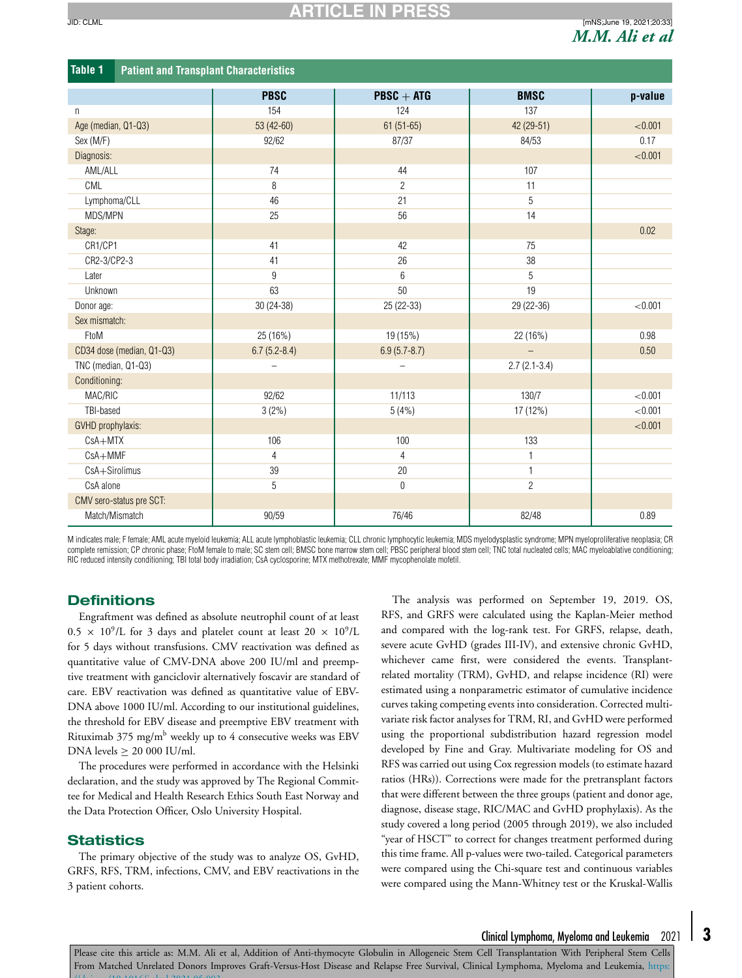<span id="page-2-0"></span>

| <b>Table 1</b><br><b>Patient and Transplant Characteristics</b> |                          |                          |                |         |  |
|-----------------------------------------------------------------|--------------------------|--------------------------|----------------|---------|--|
|                                                                 | <b>PBSC</b>              | $P BSC + ATG$            | <b>BMSC</b>    | p-value |  |
| n                                                               | 154                      | 124                      | 137            |         |  |
| Age (median, Q1-Q3)                                             | 53 (42-60)               | $61(51-65)$              | 42 (29-51)     | < 0.001 |  |
| Sex (M/F)                                                       | 92/62                    | 87/37                    | 84/53          | 0.17    |  |
| Diagnosis:                                                      |                          |                          |                | < 0.001 |  |
| AML/ALL                                                         | 74                       | 44                       | 107            |         |  |
| CML                                                             | 8                        | $\overline{2}$           | 11             |         |  |
| Lymphoma/CLL                                                    | 46                       | 21                       | 5              |         |  |
| MDS/MPN                                                         | 25                       | 56                       | 14             |         |  |
| Stage:                                                          |                          |                          |                | 0.02    |  |
| CR1/CP1                                                         | 41                       | 42                       | 75             |         |  |
| CR2-3/CP2-3                                                     | 41                       | 26                       | 38             |         |  |
| Later                                                           | 9                        | $6\overline{6}$          | 5              |         |  |
| Unknown                                                         | 63                       | 50                       | 19             |         |  |
| Donor age:                                                      | 30 (24-38)               | 25 (22-33)               | 29 (22-36)     | < 0.001 |  |
| Sex mismatch:                                                   |                          |                          |                |         |  |
| FtoM                                                            | 25 (16%)                 | 19 (15%)                 | 22 (16%)       | 0.98    |  |
| CD34 dose (median, Q1-Q3)                                       | $6.7(5.2 - 8.4)$         | $6.9(5.7 - 8.7)$         |                | 0.50    |  |
| TNC (median, Q1-Q3)                                             | $\overline{\phantom{0}}$ | $\overline{\phantom{0}}$ | $2.7(2.1-3.4)$ |         |  |
| Conditioning:                                                   |                          |                          |                |         |  |
| MAC/RIC                                                         | 92/62                    | 11/113                   | 130/7          | < 0.001 |  |
| TBI-based                                                       | 3(2%)                    | 5(4%)                    | 17 (12%)       | < 0.001 |  |
| GVHD prophylaxis:                                               |                          |                          |                | < 0.001 |  |
| $CsA+MTX$                                                       | 106                      | 100                      | 133            |         |  |
| CsA+MMF                                                         | 4                        | $\overline{4}$           | $\mathbf{1}$   |         |  |
| CsA+Sirolimus                                                   | 39                       | 20                       | $\mathbf{1}$   |         |  |
| CsA alone                                                       | 5                        | $\mathbf 0$              | $\sqrt{2}$     |         |  |
| CMV sero-status pre SCT:                                        |                          |                          |                |         |  |
| Match/Mismatch                                                  | 90/59                    | 76/46                    | 82/48          | 0.89    |  |

M indicates male; F female; AML acute myeloid leukemia; ALL acute lymphoblastic leukemia; CLL chronic lymphocytic leukemia; MDS myelodysplastic syndrome; MPN myeloproliferative neoplasia; CR complete remission; CP chronic phase; FtoM female to male; SC stem cell; BMSC bone marrow stem cell; PBSC peripheral blood stem cell; TNC total nucleated cells; MAC myeloablative conditioning; RIC reduced intensity conditioning; TBI total body irradiation; CsA cyclosporine; MTX methotrexate; MMF mycophenolate mofetil.

### **Definitions**

Engraftment was defined as absolute neutrophil count of at least  $0.5 \times 10^9$ /L for 3 days and platelet count at least  $20 \times 10^9$ /L for 5 days without transfusions. CMV reactivation was defined as quantitative value of CMV-DNA above 200 IU/ml and preemptive treatment with ganciclovir alternatively foscavir are standard of care. EBV reactivation was defined as quantitative value of EBV-DNA above 1000 IU/ml. According to our institutional guidelines, the threshold for EBV disease and preemptive EBV treatment with Rituximab  $375 \text{ mg/m}^b$  weekly up to 4 consecutive weeks was EBV DNA levels  $\geq 20000$  IU/ml.

The procedures were performed in accordance with the Helsinki declaration, and the study was approved by The Regional Committee for Medical and Health Research Ethics South East Norway and the Data Protection Officer, Oslo University Hospital.

#### **Statistics**

The primary objective of the study was to analyze OS, GvHD, GRFS, RFS, TRM, infections, CMV, and EBV reactivations in the 3 patient cohorts.

The analysis was performed on September 19, 2019. OS, RFS, and GRFS were calculated using the Kaplan-Meier method and compared with the log-rank test. For GRFS, relapse, death, severe acute GvHD (grades III-IV), and extensive chronic GvHD, whichever came first, were considered the events. Transplantrelated mortality (TRM), GvHD, and relapse incidence (RI) were estimated using a nonparametric estimator of cumulative incidence curves taking competing events into consideration. Corrected multivariate risk factor analyses for TRM, RI, and GvHD were performed using the proportional subdistribution hazard regression model developed by Fine and Gray. Multivariate modeling for OS and RFS was carried out using Cox regression models (to estimate hazard ratios (HRs)). Corrections were made for the pretransplant factors that were different between the three groups (patient and donor age, diagnose, disease stage, RIC/MAC and GvHD prophylaxis). As the study covered a long period (2005 through 2019), we also included "year of HSCT" to correct for changes treatment performed during this time frame. All p-values were two-tailed. Categorical parameters were compared using the Chi-square test and continuous variables were compared using the Mann-Whitney test or the Kruskal-Wallis

# Clinical Lymphoma, Myeloma and Leukemia 2021 **3**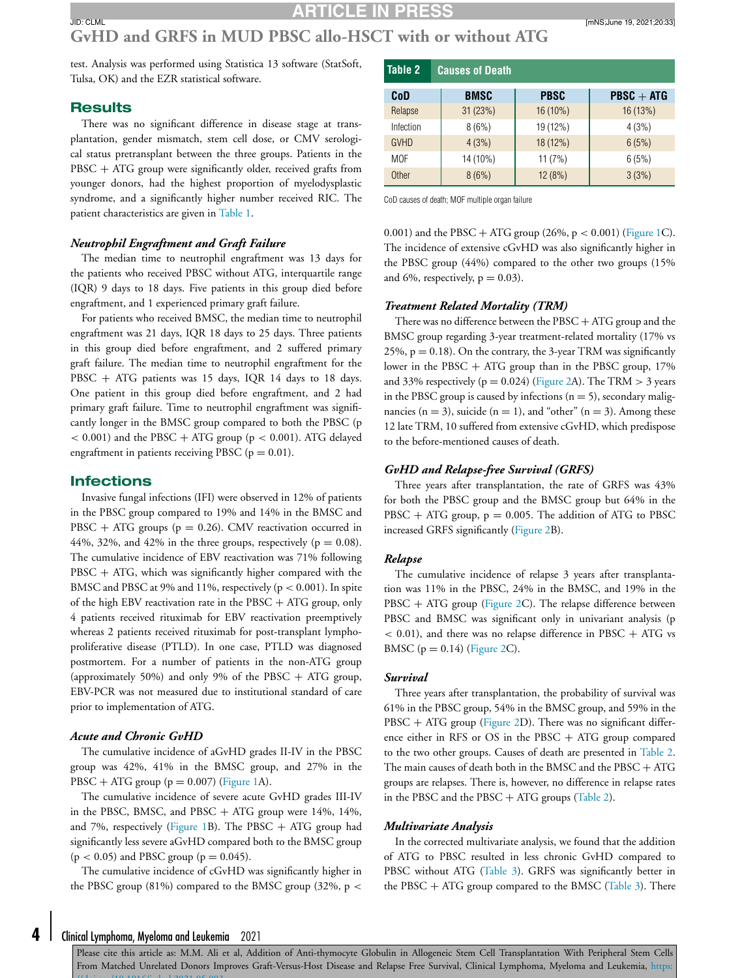# **GvHD and GRFS in MUD PBSC allo-HSCT with or without ATG**

test. Analysis was performed using Statistica 13 software (StatSoft, Tulsa, OK) and the EZR statistical software.

#### **Results**

There was no significant difference in disease stage at transplantation, gender mismatch, stem cell dose, or CMV serological status pretransplant between the three groups. Patients in the PBSC + ATG group were significantly older, received grafts from younger donors, had the highest proportion of myelodysplastic syndrome, and a significantly higher number received RIC. The patient characteristics are given in [Table](#page-2-0) 1.

#### *Neutrophil Engraftment and Graft Failure*

The median time to neutrophil engraftment was 13 days for the patients who received PBSC without ATG, interquartile range (IQR) 9 days to 18 days. Five patients in this group died before engraftment, and 1 experienced primary graft failure.

For patients who received BMSC, the median time to neutrophil engraftment was 21 days, IQR 18 days to 25 days. Three patients in this group died before engraftment, and 2 suffered primary graft failure. The median time to neutrophil engraftment for the PBSC + ATG patients was 15 days, IQR 14 days to 18 days. One patient in this group died before engraftment, and 2 had primary graft failure. Time to neutrophil engraftment was significantly longer in the BMSC group compared to both the PBSC (p  $<$  0.001) and the PBSC + ATG group ( $p$  < 0.001). ATG delayed engraftment in patients receiving PBSC ( $p = 0.01$ ).

#### **Infections**

Invasive fungal infections (IFI) were observed in 12% of patients in the PBSC group compared to 19% and 14% in the BMSC and PBSC + ATG groups ( $p = 0.26$ ). CMV reactivation occurred in 44%, 32%, and 42% in the three groups, respectively ( $p = 0.08$ ). The cumulative incidence of EBV reactivation was 71% following  $PBSC + ATG$ , which was significantly higher compared with the BMSC and PBSC at 9% and 11%, respectively (p < 0.001). In spite of the high EBV reactivation rate in the  $P BSC + ATG$  group, only 4 patients received rituximab for EBV reactivation preemptively whereas 2 patients received rituximab for post-transplant lymphoproliferative disease (PTLD). In one case, PTLD was diagnosed postmortem. For a number of patients in the non-ATG group (approximately 50%) and only 9% of the PBSC + ATG group, EBV-PCR was not measured due to institutional standard of care prior to implementation of ATG.

#### *Acute and Chronic GvHD*

The cumulative incidence of aGvHD grades II-IV in the PBSC group was 42%, 41% in the BMSC group, and 27% in the PBSC + ATG group  $(p = 0.007)$  [\(Figure](#page-4-0) 1A).

The cumulative incidence of severe acute GvHD grades III-IV in the PBSC, BMSC, and PBSC  $+$  ATG group were 14%, 14%, and 7%, respectively [\(Figure](#page-4-0) 1B). The PBSC  $+$  ATG group had significantly less severe aGvHD compared both to the BMSC group  $(p < 0.05)$  and PBSC group  $(p = 0.045)$ .

The cumulative incidence of cGvHD was significantly higher in the PBSC group (81%) compared to the BMSC group (32%,  $p <$ 

| CoD          | <b>BMSC</b> | <b>PBSC</b> | $P BSC + ATG$ |
|--------------|-------------|-------------|---------------|
| Relapse      | 31(23%)     | 16 (10%)    | 16(13%)       |
| Infection    | 8(6%)       | 19 (12%)    | 4(3%)         |
| <b>GVHD</b>  | 4(3%)       | 18 (12%)    | 6(5%)         |
| <b>MOF</b>   | 14 (10%)    | 11(7%)      | 6(5%)         |
| <b>Other</b> | 8(6%)       | 12(8%)      | 3(3%)         |

CoD causes of death; MOF multiple organ failure

**Table 2 Causes of Death**

0.001) and the PBSC + ATG group  $(26\%, p < 0.001)$  [\(Figure](#page-4-0) 1C). The incidence of extensive cGvHD was also significantly higher in the PBSC group (44%) compared to the other two groups (15% and 6%, respectively,  $p = 0.03$ ).

#### *Treatment Related Mortality (TRM)*

There was no difference between the  $\text{PBSC} + \text{ATG}$  group and the BMSC group regarding 3-year treatment-related mortality (17% vs 25%,  $p = 0.18$ ). On the contrary, the 3-year TRM was significantly lower in the PBSC  $+$  ATG group than in the PBSC group, 17% and 33% respectively ( $p = 0.024$ ) [\(Figure](#page-5-0) 2A). The TRM  $> 3$  years in the PBSC group is caused by infections  $(n = 5)$ , secondary malignancies ( $n = 3$ ), suicide ( $n = 1$ ), and "other" ( $n = 3$ ). Among these 12 late TRM, 10 suffered from extensive cGvHD, which predispose to the before-mentioned causes of death.

#### *GvHD and Relapse-free Survival (GRFS)*

Three years after transplantation, the rate of GRFS was 43% for both the PBSC group and the BMSC group but 64% in the  $PBSC + ATG$  group,  $p = 0.005$ . The addition of ATG to PBSC increased GRFS significantly [\(Figure](#page-5-0) 2B).

#### *Relapse*

The cumulative incidence of relapse 3 years after transplantation was 11% in the PBSC, 24% in the BMSC, and 19% in the PBSC + ATG group [\(Figure](#page-5-0) 2C). The relapse difference between PBSC and BMSC was significant only in univariant analysis (p  $<$  0.01), and there was no relapse difference in PBSC + ATG vs BMSC ( $p = 0.14$ ) [\(Figure](#page-5-0) 2C).

#### *Survival*

Three years after transplantation, the probability of survival was 61% in the PBSC group, 54% in the BMSC group, and 59% in the PBSC + ATG group [\(Figure](#page-5-0) 2D). There was no significant difference either in RFS or OS in the PBSC + ATG group compared to the two other groups. Causes of death are presented in Table 2. The main causes of death both in the BMSC and the PBSC + ATG groups are relapses. There is, however, no difference in relapse rates in the PBSC and the PBSC  $+$  ATG groups (Table 2).

#### *Multivariate Analysis*

In the corrected multivariate analysis, we found that the addition of ATG to PBSC resulted in less chronic GvHD compared to PBSC without ATG [\(Table](#page-6-0) 3). GRFS was significantly better in the PBSC  $+$  ATG group compared to the BMSC [\(Table](#page-6-0) 3). There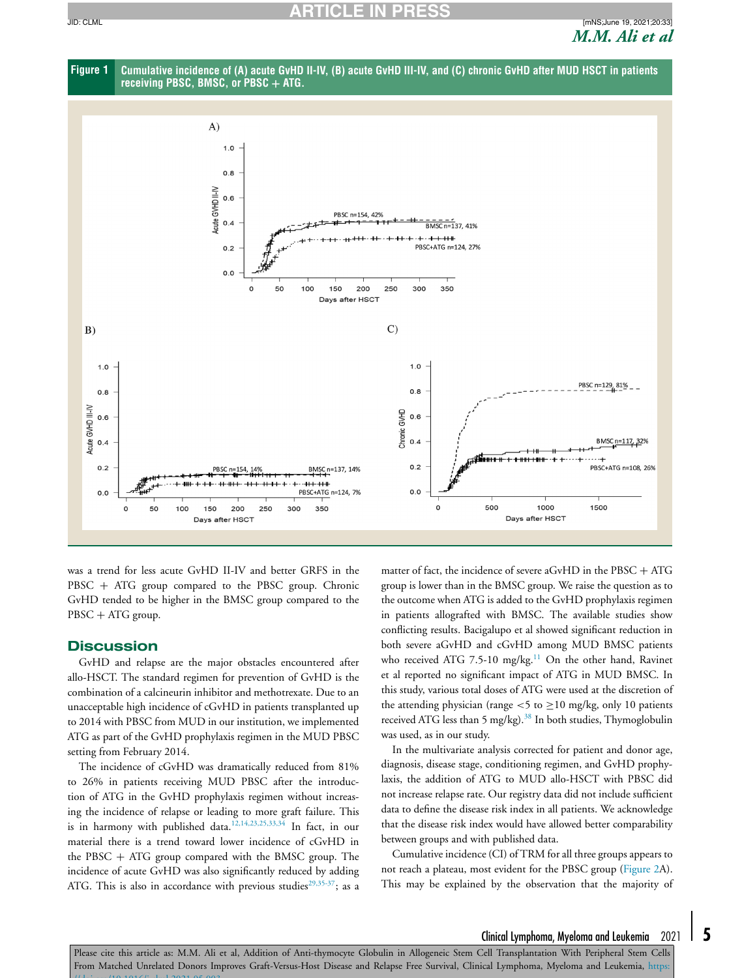<span id="page-4-0"></span>**ARTICLE IN PRESS** JID: CLML [mNS;June 19, 2021;20:33]





was a trend for less acute GvHD II-IV and better GRFS in the PBSC + ATG group compared to the PBSC group. Chronic GvHD tended to be higher in the BMSC group compared to the PBSC + ATG group.

#### **Discussion**

GvHD and relapse are the major obstacles encountered after allo-HSCT. The standard regimen for prevention of GvHD is the combination of a calcineurin inhibitor and methotrexate. Due to an unacceptable high incidence of cGvHD in patients transplanted up to 2014 with PBSC from MUD in our institution, we implemented ATG as part of the GvHD prophylaxis regimen in the MUD PBSC setting from February 2014.

The incidence of cGvHD was dramatically reduced from 81% to 26% in patients receiving MUD PBSC after the introduction of ATG in the GvHD prophylaxis regimen without increasing the incidence of relapse or leading to more graft failure. This is in harmony with published data.<sup>[12,14,23,25,33,34](#page-6-0)</sup> In fact, in our material there is a trend toward lower incidence of cGvHD in the PBSC  $+$  ATG group compared with the BMSC group. The incidence of acute GvHD was also significantly reduced by adding ATG. This is also in accordance with previous studies<sup>29,35-37</sup>; as a matter of fact, the incidence of severe aGvHD in the PBSC + ATG group is lower than in the BMSC group. We raise the question as to the outcome when ATG is added to the GvHD prophylaxis regimen in patients allografted with BMSC. The available studies show conflicting results. Bacigalupo et al showed significant reduction in both severe aGvHD and cGvHD among MUD BMSC patients who received ATG 7.5-10 mg/kg.<sup>[11](#page-6-0)</sup> On the other hand, Ravinet et al reported no significant impact of ATG in MUD BMSC. In this study, various total doses of ATG were used at the discretion of the attending physician (range <5 to  $\geq$  10 mg/kg, only 10 patients received ATG less than 5 mg/kg).<sup>[38](#page-7-0)</sup> In both studies, Thymoglobulin was used, as in our study.

In the multivariate analysis corrected for patient and donor age, diagnosis, disease stage, conditioning regimen, and GvHD prophylaxis, the addition of ATG to MUD allo-HSCT with PBSC did not increase relapse rate. Our registry data did not include sufficient data to define the disease risk index in all patients. We acknowledge that the disease risk index would have allowed better comparability between groups and with published data.

Cumulative incidence(CI) of TRM for all three groups appears to not reach a plateau, most evident for the PBSC group [\(Figure](#page-5-0) 2A). This may be explained by the observation that the majority of

## Clinical Lymphoma, Myeloma and Leukemia 2021 **5**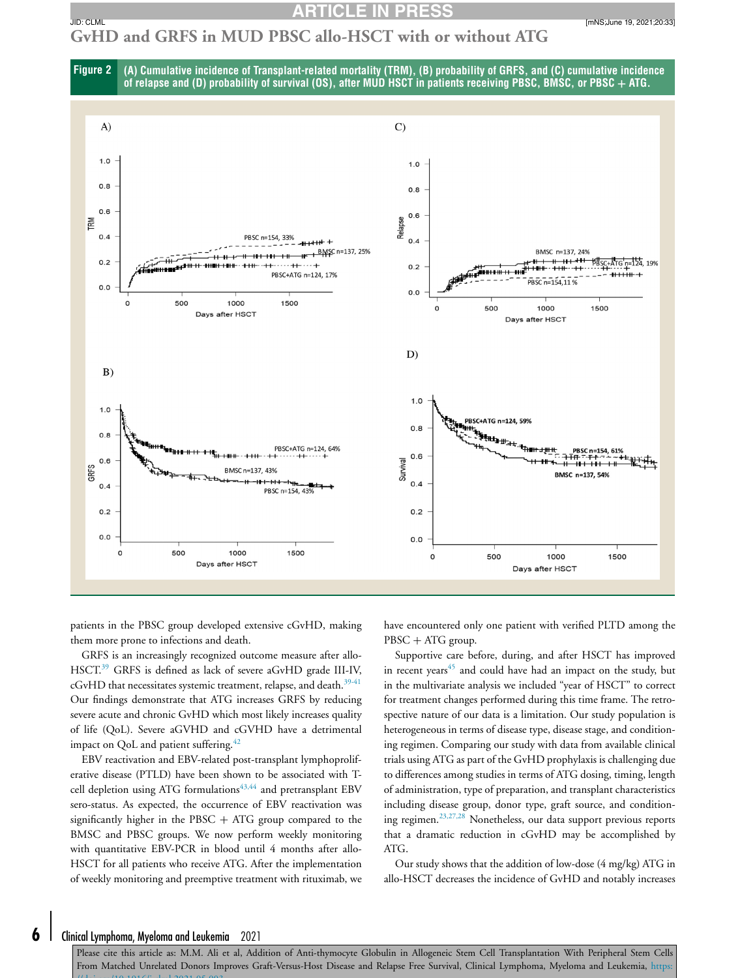# <span id="page-5-0"></span>**GvHD and GRFS in MUD PBSC allo-HSCT with or without ATG**





patients in the PBSC group developed extensive cGvHD, making them more prone to infections and death.

GRFS is an increasingly recognized outcome measure after allo-HSCT.<sup>[39](#page-7-0)</sup> GRFS is defined as lack of severe aGvHD grade III-IV, cGvHD that necessitates systemic treatment, relapse, and death.<sup>[39-41](#page-7-0)</sup> Our findings demonstrate that ATG increases GRFS by reducing severe acute and chronic GvHD which most likely increases quality of life (QoL). Severe aGVHD and cGVHD have a detrimental impact on QoL and patient suffering.<sup>[42](#page-7-0)</sup>

EBV reactivation and EBV-related post-transplant lymphoproliferative disease (PTLD) have been shown to be associated with T-cell depletion using ATG formulations<sup>[43,44](#page-7-0)</sup> and pretransplant EBV sero-status. As expected, the occurrence of EBV reactivation was significantly higher in the PBSC  $+$  ATG group compared to the BMSC and PBSC groups. We now perform weekly monitoring with quantitative EBV-PCR in blood until 4 months after allo-HSCT for all patients who receive ATG. After the implementation of weekly monitoring and preemptive treatment with rituximab, we

have encountered only one patient with verified PLTD among the PBSC + ATG group.

Supportive care before, during, and after HSCT has improved in recent years $45$  and could have had an impact on the study, but in the multivariate analysis we included "year of HSCT" to correct for treatment changes performed during this time frame. The retrospective nature of our data is a limitation. Our study population is heterogeneous in terms of disease type, disease stage, and conditioning regimen. Comparing our study with data from available clinical trials using ATG as part of the GvHD prophylaxis is challenging due to differences among studies in terms of ATG dosing, timing, length of administration, type of preparation, and transplant characteristics including disease group, donor type, graft source, and conditioning regimen.[23,27,28](#page-7-0) Nonetheless, our data support previous reports that a dramatic reduction in cGvHD may be accomplished by ATG.

Our study shows that the addition of low-dose (4 mg/kg) ATG in allo-HSCT decreases the incidence of GvHD and notably increases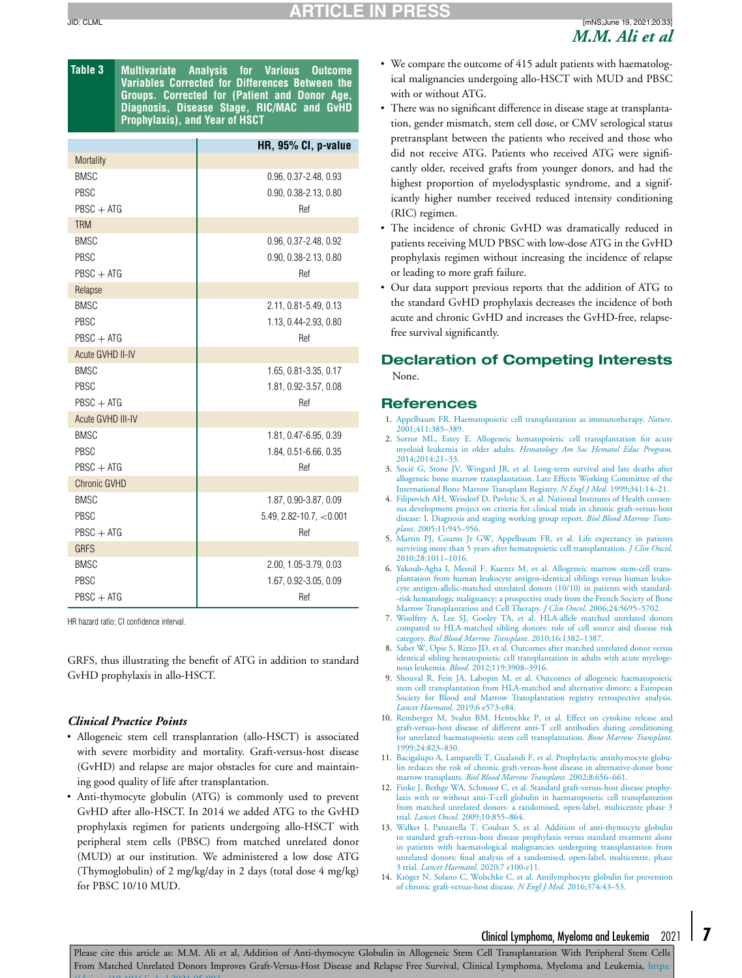<span id="page-6-0"></span>

| Table 3 | <b>Multivariate Analysis for Various Outcome</b> |  |  |
|---------|--------------------------------------------------|--|--|
|         | Variables Corrected for Differences Between the  |  |  |
|         | Groups. Corrected for (Patient and Donor Age,    |  |  |
|         | Diagnosis, Disease Stage, RIC/MAC and GvHD       |  |  |
|         | <b>Prophylaxis), and Year of HSCT</b>            |  |  |

|                     | HR, 95% CI, p-value          |
|---------------------|------------------------------|
| Mortality           |                              |
| <b>BMSC</b>         | 0.96, 0.37-2.48, 0.93        |
| PBSC                | 0.90, 0.38-2.13, 0.80        |
| $PBSC + ATG$        | Ref                          |
| <b>TRM</b>          |                              |
| <b>BMSC</b>         | 0.96, 0.37-2.48, 0.92        |
| PBSC                | 0.90, 0.38-2.13, 0.80        |
| $PBSC + ATG$        | Ref                          |
| Relapse             |                              |
| <b>BMSC</b>         | 2.11, 0.81-5.49, 0.13        |
| PBSC                | 1.13, 0.44-2.93, 0.80        |
| $PBSC + ATG$        | Ref                          |
| Acute GVHD II-IV    |                              |
| <b>BMSC</b>         | 1.65, 0.81-3.35, 0.17        |
| PBSC                | 1.81, 0.92-3.57, 0.08        |
| $PBSC + ATG$        | Ref                          |
| Acute GVHD III-IV   |                              |
| <b>BMSC</b>         | 1.81, 0.47-6.95, 0.39        |
| PBSC                | 1.84, 0.51-6.66, 0.35        |
| $PBSC + ATG$        | Ref                          |
| <b>Chronic GVHD</b> |                              |
| <b>BMSC</b>         | 1.87, 0.90-3.87, 0.09        |
| PBSC                | $5.49, 2.82 - 10.7, < 0.001$ |
| $PBSC + ATG$        | Ref                          |
| <b>GRFS</b>         |                              |
| <b>BMSC</b>         | 2.00, 1.05-3.79, 0.03        |
| PBSC                | 1.67, 0.92-3.05, 0.09        |
| $PBSC + ATG$        | Ref                          |

HR hazard ratio; CI confidence interval.

GRFS, thus illustrating the benefit of ATG in addition to standard GvHD prophylaxis in allo-HSCT.

#### *Clinical Practice Points*

- Allogeneic stem cell transplantation (allo-HSCT) is associated with severe morbidity and mortality. Graft-versus-host disease (GvHD) and relapse are major obstacles for cure and maintaining good quality of life after transplantation.
- Anti-thymocyte globulin (ATG) is commonly used to prevent GvHD after allo-HSCT. In 2014 we added ATG to the GvHD prophylaxis regimen for patients undergoing allo-HSCT with peripheral stem cells (PBSC) from matched unrelated donor (MUD) at our institution. We administered a low dose ATG (Thymoglobulin) of 2 mg/kg/day in 2 days (total dose 4 mg/kg) for PBSC 10/10 MUD.
- We compare the outcome of 415 adult patients with haematological malignancies undergoing allo-HSCT with MUD and PBSC with or without ATG.
- There was no significant difference in disease stage at transplantation, gender mismatch, stem cell dose, or CMV serological status pretransplant between the patients who received and those who did not receive ATG. Patients who received ATG were significantly older, received grafts from younger donors, and had the highest proportion of myelodysplastic syndrome, and a significantly higher number received reduced intensity conditioning (RIC) regimen.
- The incidence of chronic GvHD was dramatically reduced in patients receiving MUD PBSC with low-dose ATG in the GvHD prophylaxis regimen without increasing the incidence of relapse or leading to more graft failure.
- Our data support previous reports that the addition of ATG to the standard GvHD prophylaxis decreases the incidence of both acute and chronic GvHD and increases the GvHD-free, relapsefree survival significantly.

# **Declaration of Competing Interests**

None.

#### **References**

- 1. [Appelbaum](http://refhub.elsevier.com/S2152-2650(21)00179-8/sbref0001) FR. Haematopoietic cell transplantation as immunotherapy. *Nature*. [2001;411:385–389.](http://refhub.elsevier.com/S2152-2650(21)00179-8/sbref0001)
- 2. [Sorror](http://refhub.elsevier.com/S2152-2650(21)00179-8/sbref0002) ML, [Estey](http://refhub.elsevier.com/S2152-2650(21)00179-8/sbref0002) E. Allogeneic hematopoietic cell transplantation for acute myeloid leukemia in older adults. *Hematology Am Soc Hematol Educ Program*. [2014;2014:21–33.](http://refhub.elsevier.com/S2152-2650(21)00179-8/sbref0002)
- 3. [Socié G,](http://refhub.elsevier.com/S2152-2650(21)00179-8/sbref0003) [Stone](http://refhub.elsevier.com/S2152-2650(21)00179-8/sbref0003) JV, [Wingard](http://refhub.elsevier.com/S2152-2650(21)00179-8/sbref0003) JR, et [al.](http://refhub.elsevier.com/S2152-2650(21)00179-8/sbref0003) Long-term survival and late deaths after allogeneic bone marrow transplantation. Late Effects Working Committee of the International Bone Marrow Transplant Registry. *N Engl J Med*. [1999;341:14–21.](http://refhub.elsevier.com/S2152-2650(21)00179-8/sbref0003)
- 4. [Filipovich](http://refhub.elsevier.com/S2152-2650(21)00179-8/sbref0004) AH, [Weisdorf](http://refhub.elsevier.com/S2152-2650(21)00179-8/sbref0004) D, [Pavletic](http://refhub.elsevier.com/S2152-2650(21)00179-8/sbref0004) S, et [al.](http://refhub.elsevier.com/S2152-2650(21)00179-8/sbref0004) National Institutes of Health consensus development project on criteria for clinical trials in chronic graft-versus-host disease: I. Diagnosis and staging working group report. *Biol Blood Marrow Transplant*. [2005;11:945–956.](http://refhub.elsevier.com/S2152-2650(21)00179-8/sbref0004)
- 5. [Martin](http://refhub.elsevier.com/S2152-2650(21)00179-8/sbref0005) PJ, [Counts](http://refhub.elsevier.com/S2152-2650(21)00179-8/sbref0005) Jr GW, [Appelbaum](http://refhub.elsevier.com/S2152-2650(21)00179-8/sbref0005) FR, et [al.](http://refhub.elsevier.com/S2152-2650(21)00179-8/sbref0005) Life expectancy in patients surviving more than 5 years after hematopoietic cell transplantation. *J Clin Oncol*. [2010;28:1011–1016.](http://refhub.elsevier.com/S2152-2650(21)00179-8/sbref0005)
- 6. [Yakoub-Agha](http://refhub.elsevier.com/S2152-2650(21)00179-8/sbref0006) I, [Mesnil](http://refhub.elsevier.com/S2152-2650(21)00179-8/sbref0006) F, [Kuentz](http://refhub.elsevier.com/S2152-2650(21)00179-8/sbref0006) M, et [al.](http://refhub.elsevier.com/S2152-2650(21)00179-8/sbref0006) Allogeneic marrow stem-cell trans-plantation from human leukocyte antigen-identical siblings versus human leukocyte [antigen-allelic-matched](http://refhub.elsevier.com/S2152-2650(21)00179-8/sbref0006) unrelated donors (10/10) in patients with standard- -risk hematologic malignancy: a prospective study from the French Society of Bone Marrow Transplantation and Cell Therapy. *J Clin Oncol*. 2006;24:5695–5702.
- 7. [Woolfrey](http://refhub.elsevier.com/S2152-2650(21)00179-8/sbref0007) A, [Lee](http://refhub.elsevier.com/S2152-2650(21)00179-8/sbref0007) SJ, [Gooley](http://refhub.elsevier.com/S2152-2650(21)00179-8/sbref0007) TA, et [al.](http://refhub.elsevier.com/S2152-2650(21)00179-8/sbref0007) HLA-allele matched unrelated donors compared to HLA-matched sibling donors: role of cell source and disease risk category. *Biol Blood Marrow Transplant*. [2010;16:1382–1387.](http://refhub.elsevier.com/S2152-2650(21)00179-8/sbref0007)
- 8. [Saber](http://refhub.elsevier.com/S2152-2650(21)00179-8/sbref0008) W, [Opie](http://refhub.elsevier.com/S2152-2650(21)00179-8/sbref0008) S, [Rizzo](http://refhub.elsevier.com/S2152-2650(21)00179-8/sbref0008) JD, et [al.](http://refhub.elsevier.com/S2152-2650(21)00179-8/sbref0008) Outcomes after matched unrelated donor versus identical sibling hematopoietic cell transplantation in adults with acute myelogenous leukemia. *Blood*. [2012;119:3908–3916.](http://refhub.elsevier.com/S2152-2650(21)00179-8/sbref0008)
- 9. [Shouval](http://refhub.elsevier.com/S2152-2650(21)00179-8/sbref0009) R, [Fein](http://refhub.elsevier.com/S2152-2650(21)00179-8/sbref0009) JA, [Labopin](http://refhub.elsevier.com/S2152-2650(21)00179-8/sbref0009) M, et [al.](http://refhub.elsevier.com/S2152-2650(21)00179-8/sbref0009) Outcomes of allogeneic haematopoietic stem cell transplantation from HLA-matched and alternative donors: a European Society for Blood and Marrow [Transplantation](http://refhub.elsevier.com/S2152-2650(21)00179-8/sbref0009) registry retrospective analysis. *Lancet Haematol*. 2019;6 e573-e84.
- 10. [Remberger](http://refhub.elsevier.com/S2152-2650(21)00179-8/sbref0010) M, [Svahn](http://refhub.elsevier.com/S2152-2650(21)00179-8/sbref0010) BM, [Hentschke](http://refhub.elsevier.com/S2152-2650(21)00179-8/sbref0010) P, et [al.](http://refhub.elsevier.com/S2152-2650(21)00179-8/sbref0010) Effect on cytokine release and graft-versus-host disease of different anti-T cell antibodies during conditioning for unrelated haematopoietic stem cell transplantation. *Bone Marrow Transplant*. [1999;24:823–830.](http://refhub.elsevier.com/S2152-2650(21)00179-8/sbref0010)
- 11. [Bacigalupo](http://refhub.elsevier.com/S2152-2650(21)00179-8/sbref0011) A, [Lamparelli](http://refhub.elsevier.com/S2152-2650(21)00179-8/sbref0011) T, [Gualandi](http://refhub.elsevier.com/S2152-2650(21)00179-8/sbref0011) F, et [al.](http://refhub.elsevier.com/S2152-2650(21)00179-8/sbref0011) Prophylactic antithymocyte globulin reduces the risk of chronic graft-versus-host disease in alternative-donor bone marrow transplants. *Biol Blood Marrow Transplant*. [2002;8:656–661.](http://refhub.elsevier.com/S2152-2650(21)00179-8/sbref0011)
- 12. [Finke](http://refhub.elsevier.com/S2152-2650(21)00179-8/sbref0012) J, [Bethge](http://refhub.elsevier.com/S2152-2650(21)00179-8/sbref0012) WA, [Schmoor](http://refhub.elsevier.com/S2152-2650(21)00179-8/sbref0012) C, et [al.](http://refhub.elsevier.com/S2152-2650(21)00179-8/sbref0012) Standard graft-versus-host disease prophylaxis with or without anti-T-cell globulin in haematopoietic cell transplantation from matched unrelated donors: a randomised, open-label, multicentre phase 3 trial. *Lancet Oncol*. [2009;10:855–864.](http://refhub.elsevier.com/S2152-2650(21)00179-8/sbref0012)
- 13. [Walker](http://refhub.elsevier.com/S2152-2650(21)00179-8/sbref0013) I, [Panzarella](http://refhub.elsevier.com/S2152-2650(21)00179-8/sbref0013) T, [Couban](http://refhub.elsevier.com/S2152-2650(21)00179-8/sbref0013) S, et [al.](http://refhub.elsevier.com/S2152-2650(21)00179-8/sbref0013) Addition of anti-thymocyte globulin to standard [graft-versus-host](http://refhub.elsevier.com/S2152-2650(21)00179-8/sbref0013) disease prophylaxis versus standard treatment alone in patients with haematological malignancies undergoing transplantation from unrelated donors: final analysis of a randomised, open-label, multicentre, phase 3 trial. *Lancet Haematol*. 2020;7 e100-e11.
- 14. [Kröger](http://refhub.elsevier.com/S2152-2650(21)00179-8/sbref0014) N, [Solano](http://refhub.elsevier.com/S2152-2650(21)00179-8/sbref0014) C, [Wolschke](http://refhub.elsevier.com/S2152-2650(21)00179-8/sbref0014) C, et [al.](http://refhub.elsevier.com/S2152-2650(21)00179-8/sbref0014) Antilymphocyte globulin for prevention of chronic graft-versus-host disease. *N Engl J Med*. [2016;374:43–53.](http://refhub.elsevier.com/S2152-2650(21)00179-8/sbref0014)

# Clinical Lymphoma, Myeloma and Leukemia 2021 **7**